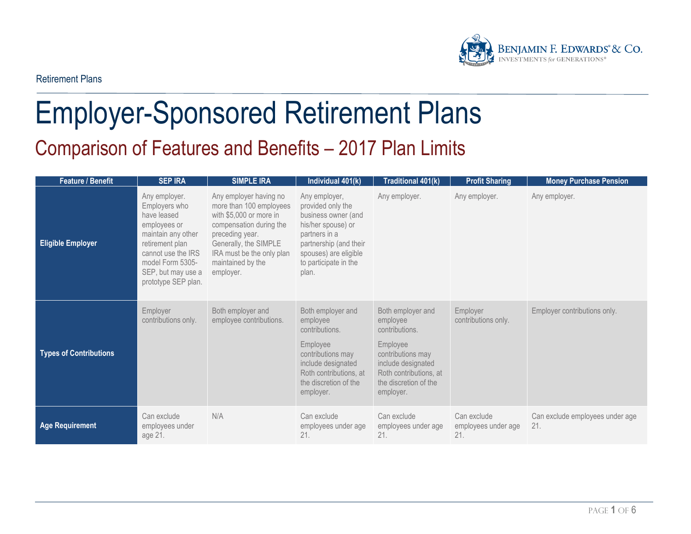

# Employer-Sponsored Retirement Plans Comparison of Features and Benefits – 2017 Plan Limits

| <b>Feature / Benefit</b>      | <b>SEP IRA</b>                                                                                                                                                                                | <b>SIMPLE IRA</b>                                                                                                                                                                                                  | Individual 401(k)                                                                                                                                                                     | <b>Traditional 401(k)</b>                                                                                                                                              | <b>Profit Sharing</b>                     | <b>Money Purchase Pension</b>          |
|-------------------------------|-----------------------------------------------------------------------------------------------------------------------------------------------------------------------------------------------|--------------------------------------------------------------------------------------------------------------------------------------------------------------------------------------------------------------------|---------------------------------------------------------------------------------------------------------------------------------------------------------------------------------------|------------------------------------------------------------------------------------------------------------------------------------------------------------------------|-------------------------------------------|----------------------------------------|
| <b>Eligible Employer</b>      | Any employer.<br>Employers who<br>have leased<br>employees or<br>maintain any other<br>retirement plan<br>cannot use the IRS<br>model Form 5305-<br>SEP, but may use a<br>prototype SEP plan. | Any employer having no<br>more than 100 employees<br>with \$5,000 or more in<br>compensation during the<br>preceding year.<br>Generally, the SIMPLE<br>IRA must be the only plan<br>maintained by the<br>employer. | Any employer,<br>provided only the<br>business owner (and<br>his/her spouse) or<br>partners in a<br>partnership (and their<br>spouses) are eligible<br>to participate in the<br>plan. | Any employer.                                                                                                                                                          | Any employer.                             | Any employer.                          |
| <b>Types of Contributions</b> | Employer<br>contributions only.                                                                                                                                                               | Both employer and<br>employee contributions.                                                                                                                                                                       | Both employer and<br>employee<br>contributions.<br>Employee<br>contributions may<br>include designated<br>Roth contributions, at<br>the discretion of the<br>employer.                | Both employer and<br>employee<br>contributions.<br>Employee<br>contributions may<br>include designated<br>Roth contributions, at<br>the discretion of the<br>employer. | Employer<br>contributions only.           | Employer contributions only.           |
| <b>Age Requirement</b>        | Can exclude<br>employees under<br>age 21.                                                                                                                                                     | N/A                                                                                                                                                                                                                | Can exclude<br>employees under age<br>21.                                                                                                                                             | Can exclude<br>employees under age<br>21.                                                                                                                              | Can exclude<br>employees under age<br>21. | Can exclude employees under age<br>21. |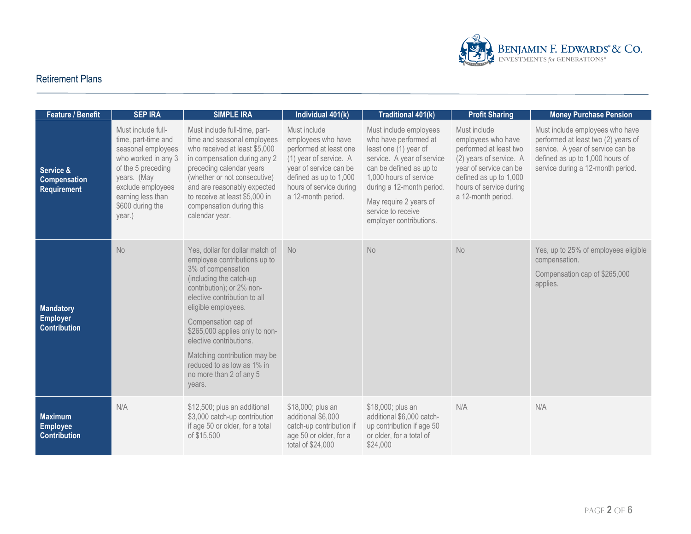

| <b>Feature / Benefit</b>                                   | <b>SEP IRA</b>                                                                                                                                                                                      | <b>SIMPLE IRA</b>                                                                                                                                                                                                                                                                                                                                                                           | Individual 401(k)                                                                                                                                                                           | Traditional 401(k)                                                                                                                                                                                                                                                  | <b>Profit Sharing</b>                                                                                                                                                                        | <b>Money Purchase Pension</b>                                                                                                                                                       |
|------------------------------------------------------------|-----------------------------------------------------------------------------------------------------------------------------------------------------------------------------------------------------|---------------------------------------------------------------------------------------------------------------------------------------------------------------------------------------------------------------------------------------------------------------------------------------------------------------------------------------------------------------------------------------------|---------------------------------------------------------------------------------------------------------------------------------------------------------------------------------------------|---------------------------------------------------------------------------------------------------------------------------------------------------------------------------------------------------------------------------------------------------------------------|----------------------------------------------------------------------------------------------------------------------------------------------------------------------------------------------|-------------------------------------------------------------------------------------------------------------------------------------------------------------------------------------|
| Service &<br><b>Compensation</b><br>Requirement            | Must include full-<br>time, part-time and<br>seasonal employees<br>who worked in any 3<br>of the 5 preceding<br>years. (May<br>exclude employees<br>earning less than<br>\$600 during the<br>year.) | Must include full-time, part-<br>time and seasonal employees<br>who received at least \$5,000<br>in compensation during any 2<br>preceding calendar years<br>(whether or not consecutive)<br>and are reasonably expected<br>to receive at least \$5,000 in<br>compensation during this<br>calendar year.                                                                                    | Must include<br>employees who have<br>performed at least one<br>(1) year of service. A<br>year of service can be<br>defined as up to 1,000<br>hours of service during<br>a 12-month period. | Must include employees<br>who have performed at<br>least one (1) year of<br>service. A year of service<br>can be defined as up to<br>1,000 hours of service<br>during a 12-month period.<br>May require 2 years of<br>service to receive<br>employer contributions. | Must include<br>employees who have<br>performed at least two<br>(2) years of service. A<br>year of service can be<br>defined as up to 1,000<br>hours of service during<br>a 12-month period. | Must include employees who have<br>performed at least two (2) years of<br>service. A year of service can be<br>defined as up to 1,000 hours of<br>service during a 12-month period. |
| <b>Mandatory</b><br><b>Employer</b><br><b>Contribution</b> | No                                                                                                                                                                                                  | Yes, dollar for dollar match of<br>employee contributions up to<br>3% of compensation<br>(including the catch-up<br>contribution); or 2% non-<br>elective contribution to all<br>eligible employees.<br>Compensation cap of<br>\$265,000 applies only to non-<br>elective contributions.<br>Matching contribution may be<br>reduced to as low as 1% in<br>no more than 2 of any 5<br>years. | No                                                                                                                                                                                          | No                                                                                                                                                                                                                                                                  | No                                                                                                                                                                                           | Yes, up to 25% of employees eligible<br>compensation.<br>Compensation cap of \$265,000<br>applies.                                                                                  |
| <b>Maximum</b><br><b>Employee</b><br><b>Contribution</b>   | N/A                                                                                                                                                                                                 | \$12,500; plus an additional<br>\$3,000 catch-up contribution<br>if age 50 or older, for a total<br>of \$15,500                                                                                                                                                                                                                                                                             | \$18,000; plus an<br>additional \$6,000<br>catch-up contribution if<br>age 50 or older, for a<br>total of \$24,000                                                                          | \$18,000; plus an<br>additional \$6,000 catch-<br>up contribution if age 50<br>or older, for a total of<br>\$24,000                                                                                                                                                 | N/A                                                                                                                                                                                          | N/A                                                                                                                                                                                 |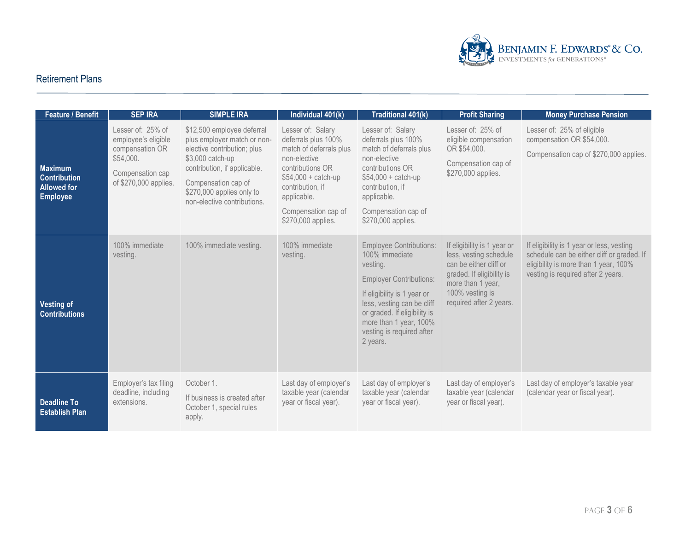

| <b>Feature / Benefit</b>                                                       | <b>SEP IRA</b>                                                                                                        | <b>SIMPLE IRA</b>                                                                                                                                                                                                               | Individual 401(k)                                                                                                                                                                                               | Traditional 401(k)                                                                                                                                                                                                                                             | <b>Profit Sharing</b>                                                                                                                                                           | <b>Money Purchase Pension</b>                                                                                                                                          |
|--------------------------------------------------------------------------------|-----------------------------------------------------------------------------------------------------------------------|---------------------------------------------------------------------------------------------------------------------------------------------------------------------------------------------------------------------------------|-----------------------------------------------------------------------------------------------------------------------------------------------------------------------------------------------------------------|----------------------------------------------------------------------------------------------------------------------------------------------------------------------------------------------------------------------------------------------------------------|---------------------------------------------------------------------------------------------------------------------------------------------------------------------------------|------------------------------------------------------------------------------------------------------------------------------------------------------------------------|
| <b>Maximum</b><br><b>Contribution</b><br><b>Allowed for</b><br><b>Employee</b> | Lesser of: 25% of<br>employee's eligible<br>compensation OR<br>\$54,000.<br>Compensation cap<br>of \$270,000 applies. | \$12,500 employee deferral<br>plus employer match or non-<br>elective contribution; plus<br>\$3,000 catch-up<br>contribution, if applicable.<br>Compensation cap of<br>\$270,000 applies only to<br>non-elective contributions. | Lesser of: Salary<br>deferrals plus 100%<br>match of deferrals plus<br>non-elective<br>contributions OR<br>$$54,000 + catch-up$<br>contribution, if<br>applicable.<br>Compensation cap of<br>\$270,000 applies. | Lesser of: Salary<br>deferrals plus 100%<br>match of deferrals plus<br>non-elective<br>contributions OR<br>$$54,000 + catch-up$<br>contribution, if<br>applicable.<br>Compensation cap of<br>\$270,000 applies.                                                | Lesser of: 25% of<br>eligible compensation<br>OR \$54,000.<br>Compensation cap of<br>\$270,000 applies.                                                                         | Lesser of: 25% of eligible<br>compensation OR \$54,000.<br>Compensation cap of \$270,000 applies.                                                                      |
| <b>Vesting of</b><br><b>Contributions</b>                                      | 100% immediate<br>vesting.                                                                                            | 100% immediate vesting.                                                                                                                                                                                                         | 100% immediate<br>vesting.                                                                                                                                                                                      | <b>Employee Contributions:</b><br>100% immediate<br>vesting.<br><b>Employer Contributions:</b><br>If eligibility is 1 year or<br>less, vesting can be cliff<br>or graded. If eligibility is<br>more than 1 year, 100%<br>vesting is required after<br>2 years. | If eligibility is 1 year or<br>less, vesting schedule<br>can be either cliff or<br>graded. If eligibility is<br>more than 1 year,<br>100% vesting is<br>required after 2 years. | If eligibility is 1 year or less, vesting<br>schedule can be either cliff or graded. If<br>eligibility is more than 1 year, 100%<br>vesting is required after 2 years. |
| <b>Deadline To</b><br><b>Establish Plan</b>                                    | Employer's tax filing<br>deadline, including<br>extensions.                                                           | October 1.<br>If business is created after<br>October 1, special rules<br>apply.                                                                                                                                                | Last day of employer's<br>taxable year (calendar<br>year or fiscal year).                                                                                                                                       | Last day of employer's<br>taxable year (calendar<br>year or fiscal year).                                                                                                                                                                                      | Last day of employer's<br>taxable year (calendar<br>year or fiscal year).                                                                                                       | Last day of employer's taxable year<br>(calendar year or fiscal year).                                                                                                 |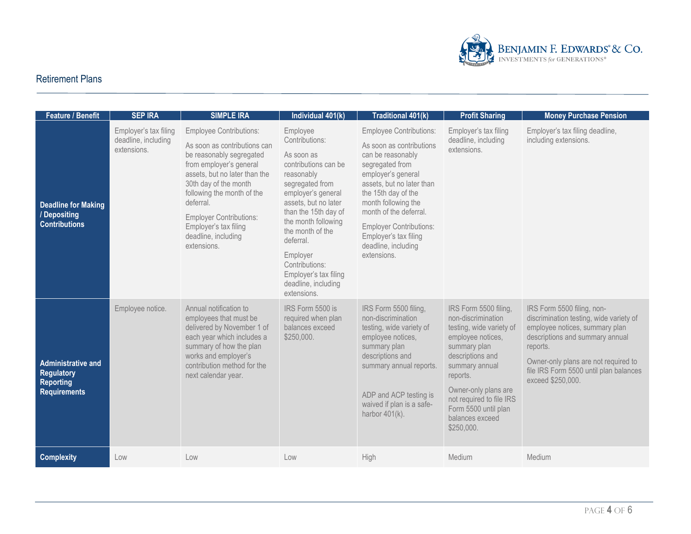

| <b>Feature / Benefit</b>                                                                  | <b>SEP IRA</b>                                              | <b>SIMPLE IRA</b>                                                                                                                                                                                                                                                                                                           | Individual 401(k)                                                                                                                                                                                                                                                                                                            | <b>Traditional 401(k)</b>                                                                                                                                                                                                                                                                                                      | <b>Profit Sharing</b>                                                                                                                                                                                                                                                       | <b>Money Purchase Pension</b>                                                                                                                                                                                                                                 |
|-------------------------------------------------------------------------------------------|-------------------------------------------------------------|-----------------------------------------------------------------------------------------------------------------------------------------------------------------------------------------------------------------------------------------------------------------------------------------------------------------------------|------------------------------------------------------------------------------------------------------------------------------------------------------------------------------------------------------------------------------------------------------------------------------------------------------------------------------|--------------------------------------------------------------------------------------------------------------------------------------------------------------------------------------------------------------------------------------------------------------------------------------------------------------------------------|-----------------------------------------------------------------------------------------------------------------------------------------------------------------------------------------------------------------------------------------------------------------------------|---------------------------------------------------------------------------------------------------------------------------------------------------------------------------------------------------------------------------------------------------------------|
| <b>Deadline for Making</b><br>/ Depositing<br><b>Contributions</b>                        | Employer's tax filing<br>deadline, including<br>extensions. | <b>Employee Contributions:</b><br>As soon as contributions can<br>be reasonably segregated<br>from employer's general<br>assets, but no later than the<br>30th day of the month<br>following the month of the<br>deferral.<br><b>Employer Contributions:</b><br>Employer's tax filing<br>deadline, including<br>extensions. | Employee<br>Contributions:<br>As soon as<br>contributions can be<br>reasonably<br>segregated from<br>employer's general<br>assets, but no later<br>than the 15th day of<br>the month following<br>the month of the<br>deferral.<br>Employer<br>Contributions:<br>Employer's tax filing<br>deadline, including<br>extensions. | <b>Employee Contributions:</b><br>As soon as contributions<br>can be reasonably<br>segregated from<br>employer's general<br>assets, but no later than<br>the 15th day of the<br>month following the<br>month of the deferral.<br><b>Employer Contributions:</b><br>Employer's tax filing<br>deadline, including<br>extensions. | Employer's tax filing<br>deadline, including<br>extensions.                                                                                                                                                                                                                 | Employer's tax filing deadline,<br>including extensions.                                                                                                                                                                                                      |
| <b>Administrative and</b><br><b>Regulatory</b><br><b>Reporting</b><br><b>Requirements</b> | Employee notice.                                            | Annual notification to<br>employees that must be<br>delivered by November 1 of<br>each year which includes a<br>summary of how the plan<br>works and employer's<br>contribution method for the<br>next calendar year.                                                                                                       | IRS Form 5500 is<br>required when plan<br>balances exceed<br>\$250,000.                                                                                                                                                                                                                                                      | IRS Form 5500 filing,<br>non-discrimination<br>testing, wide variety of<br>employee notices,<br>summary plan<br>descriptions and<br>summary annual reports.<br>ADP and ACP testing is<br>waived if plan is a safe-<br>harbor $401(k)$ .                                                                                        | IRS Form 5500 filing,<br>non-discrimination<br>testing, wide variety of<br>employee notices,<br>summary plan<br>descriptions and<br>summary annual<br>reports.<br>Owner-only plans are<br>not required to file IRS<br>Form 5500 until plan<br>balances exceed<br>\$250,000. | IRS Form 5500 filing, non-<br>discrimination testing, wide variety of<br>employee notices, summary plan<br>descriptions and summary annual<br>reports.<br>Owner-only plans are not required to<br>file IRS Form 5500 until plan balances<br>exceed \$250,000. |
| <b>Complexity</b>                                                                         | Low                                                         | Low                                                                                                                                                                                                                                                                                                                         | Low                                                                                                                                                                                                                                                                                                                          | High                                                                                                                                                                                                                                                                                                                           | Medium                                                                                                                                                                                                                                                                      | Medium                                                                                                                                                                                                                                                        |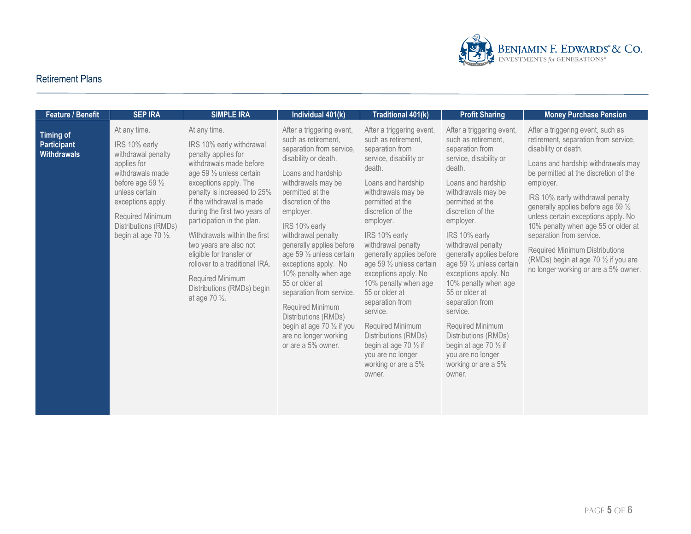

| Feature / Benefit                                            | <b>SEP IRA</b>                                                                                                                                                                                                                   | <b>SIMPLE IRA</b>                                                                                                                                                                                                                                                                                                                                                                                                                                                                  | Individual 401(k)                                                                                                                                                                                                                                                                                                                                                                                                                                                                                                             | Traditional 401(k)                                                                                                                                                                                                                                                                                                                                                                                                                                                                                                                               | <b>Profit Sharing</b>                                                                                                                                                                                                                                                                                                                                                                                                                                                                                                                            | <b>Money Purchase Pension</b>                                                                                                                                                                                                                                                                                                                                                                                                                                                                         |
|--------------------------------------------------------------|----------------------------------------------------------------------------------------------------------------------------------------------------------------------------------------------------------------------------------|------------------------------------------------------------------------------------------------------------------------------------------------------------------------------------------------------------------------------------------------------------------------------------------------------------------------------------------------------------------------------------------------------------------------------------------------------------------------------------|-------------------------------------------------------------------------------------------------------------------------------------------------------------------------------------------------------------------------------------------------------------------------------------------------------------------------------------------------------------------------------------------------------------------------------------------------------------------------------------------------------------------------------|--------------------------------------------------------------------------------------------------------------------------------------------------------------------------------------------------------------------------------------------------------------------------------------------------------------------------------------------------------------------------------------------------------------------------------------------------------------------------------------------------------------------------------------------------|--------------------------------------------------------------------------------------------------------------------------------------------------------------------------------------------------------------------------------------------------------------------------------------------------------------------------------------------------------------------------------------------------------------------------------------------------------------------------------------------------------------------------------------------------|-------------------------------------------------------------------------------------------------------------------------------------------------------------------------------------------------------------------------------------------------------------------------------------------------------------------------------------------------------------------------------------------------------------------------------------------------------------------------------------------------------|
| <b>Timing of</b><br><b>Participant</b><br><b>Withdrawals</b> | At any time.<br>IRS 10% early<br>withdrawal penalty<br>applies for<br>withdrawals made<br>before age 59 $\frac{1}{2}$<br>unless certain<br>exceptions apply.<br>Required Minimum<br>Distributions (RMDs)<br>begin at age 70 1/2. | At any time.<br>IRS 10% early withdrawal<br>penalty applies for<br>withdrawals made before<br>age 59 1/2 unless certain<br>exceptions apply. The<br>penalty is increased to 25%<br>if the withdrawal is made<br>during the first two years of<br>participation in the plan.<br>Withdrawals within the first<br>two years are also not<br>eligible for transfer or<br>rollover to a traditional IRA.<br>Required Minimum<br>Distributions (RMDs) begin<br>at age 70 $\frac{1}{2}$ . | After a triggering event,<br>such as retirement,<br>separation from service,<br>disability or death.<br>Loans and hardship<br>withdrawals may be<br>permitted at the<br>discretion of the<br>employer.<br>IRS 10% early<br>withdrawal penalty<br>generally applies before<br>age 59 1/2 unless certain<br>exceptions apply. No<br>10% penalty when age<br>55 or older at<br>separation from service.<br>Required Minimum<br>Distributions (RMDs)<br>begin at age 70 1/2 if you<br>are no longer working<br>or are a 5% owner. | After a triggering event,<br>such as retirement,<br>separation from<br>service, disability or<br>death.<br>Loans and hardship<br>withdrawals may be<br>permitted at the<br>discretion of the<br>employer.<br>IRS 10% early<br>withdrawal penalty<br>generally applies before<br>age 59 1/2 unless certain<br>exceptions apply. No<br>10% penalty when age<br>55 or older at<br>separation from<br>service.<br>Required Minimum<br>Distributions (RMDs)<br>begin at age 70 $\frac{1}{2}$ if<br>you are no longer<br>working or are a 5%<br>owner. | After a triggering event,<br>such as retirement,<br>separation from<br>service, disability or<br>death.<br>Loans and hardship<br>withdrawals may be<br>permitted at the<br>discretion of the<br>employer.<br>IRS 10% early<br>withdrawal penalty<br>generally applies before<br>age 59 1/2 unless certain<br>exceptions apply. No<br>10% penalty when age<br>55 or older at<br>separation from<br>service.<br>Required Minimum<br>Distributions (RMDs)<br>begin at age 70 $\frac{1}{2}$ if<br>you are no longer<br>working or are a 5%<br>owner. | After a triggering event, such as<br>retirement, separation from service,<br>disability or death.<br>Loans and hardship withdrawals may<br>be permitted at the discretion of the<br>employer.<br>IRS 10% early withdrawal penalty<br>generally applies before age 59 1/2<br>unless certain exceptions apply. No<br>10% penalty when age 55 or older at<br>separation from service.<br>Required Minimum Distributions<br>(RMDs) begin at age 70 1/2 if you are<br>no longer working or are a 5% owner. |